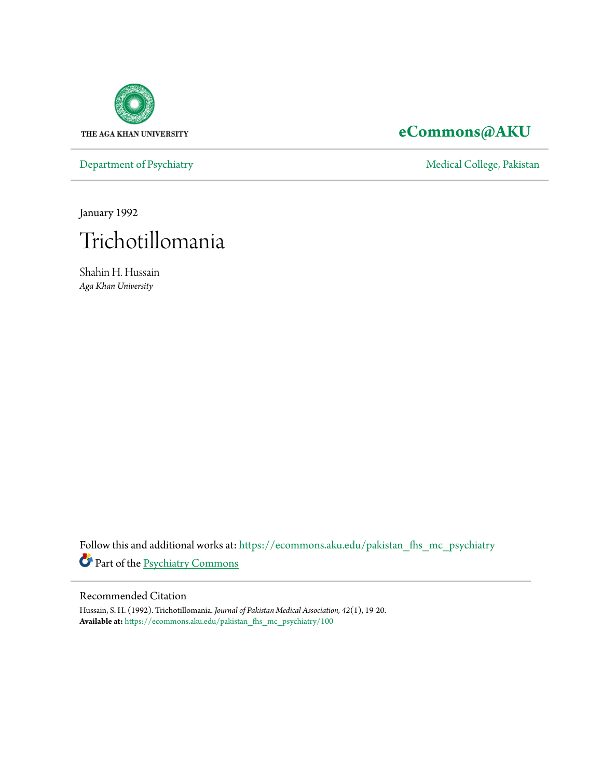

## **[eCommons@AKU](https://ecommons.aku.edu?utm_source=ecommons.aku.edu%2Fpakistan_fhs_mc_psychiatry%2F100&utm_medium=PDF&utm_campaign=PDFCoverPages)**

[Department of Psychiatry](https://ecommons.aku.edu/pakistan_fhs_mc_psychiatry?utm_source=ecommons.aku.edu%2Fpakistan_fhs_mc_psychiatry%2F100&utm_medium=PDF&utm_campaign=PDFCoverPages) and Theorem and Theorem and [Medical College, Pakistan](https://ecommons.aku.edu/pakistan_fhs_mc?utm_source=ecommons.aku.edu%2Fpakistan_fhs_mc_psychiatry%2F100&utm_medium=PDF&utm_campaign=PDFCoverPages)

January 1992



Shahin H. Hussain *Aga Khan University*

Follow this and additional works at: [https://ecommons.aku.edu/pakistan\\_fhs\\_mc\\_psychiatry](https://ecommons.aku.edu/pakistan_fhs_mc_psychiatry?utm_source=ecommons.aku.edu%2Fpakistan_fhs_mc_psychiatry%2F100&utm_medium=PDF&utm_campaign=PDFCoverPages) Part of the [Psychiatry Commons](http://network.bepress.com/hgg/discipline/704?utm_source=ecommons.aku.edu%2Fpakistan_fhs_mc_psychiatry%2F100&utm_medium=PDF&utm_campaign=PDFCoverPages)

#### Recommended Citation

Hussain, S. H. (1992). Trichotillomania. *Journal of Pakistan Medical Association, 42*(1), 19-20. **Available at:** [https://ecommons.aku.edu/pakistan\\_fhs\\_mc\\_psychiatry/100](https://ecommons.aku.edu/pakistan_fhs_mc_psychiatry/100)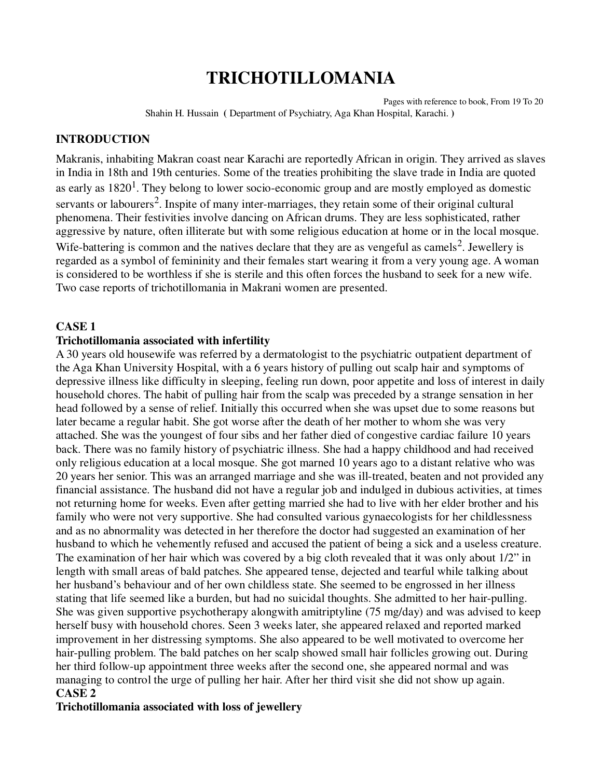# **TRICHOTILLOMANIA**

Pages with reference to book, From 19 To 20 Shahin H. Hussain **(** Department of Psychiatry, Aga Khan Hospital, Karachi. **)** 

#### **INTRODUCTION**

Makranis, inhabiting Makran coast near Karachi are reportedly African in origin. They arrived as slaves in India in 18th and 19th centuries. Some of the treaties prohibiting the slave trade in India are quoted as early as  $1820<sup>1</sup>$ . They belong to lower socio-economic group and are mostly employed as domestic servants or labourers<sup>2</sup>. Inspite of many inter-marriages, they retain some of their original cultural phenomena. Their festivities involve dancing on African drums. They are less sophisticated, rather aggressive by nature, often illiterate but with some religious education at home or in the local mosque. Wife-battering is common and the natives declare that they are as vengeful as camels<sup>2</sup>. Jewellery is regarded as a symbol of femininity and their females start wearing it from a very young age. A woman is considered to be worthless if she is sterile and this often forces the husband to seek for a new wife. Two case reports of trichotillomania in Makrani women are presented.

#### **CASE 1**

#### **Trichotillomania associated with infertility**

A 30 years old housewife was referred by a dermatologist to the psychiatric outpatient department of the Aga Khan University Hospital, with a 6 years history of pulling out scalp hair and symptoms of depressive illness like difficulty in sleeping, feeling run down, poor appetite and loss of interest in daily household chores. The habit of pulling hair from the scalp was preceded by a strange sensation in her head followed by a sense of relief. Initially this occurred when she was upset due to some reasons but later became a regular habit. She got worse after the death of her mother to whom she was very attached. She was the youngest of four sibs and her father died of congestive cardiac failure 10 years back. There was no family history of psychiatric illness. She had a happy childhood and had received only religious education at a local mosque. She got marned 10 years ago to a distant relative who was 20 years her senior. This was an arranged marriage and she was ill-treated, beaten and not provided any financial assistance. The husband did not have a regular job and indulged in dubious activities, at times not returning home for weeks. Even after getting married she had to live with her elder brother and his family who were not very supportive. She had consulted various gynaecologists for her childlessness and as no abnormality was detected in her therefore the doctor had suggested an examination of her husband to which he vehemently refused and accused the patient of being a sick and a useless creature. The examination of her hair which was covered by a big cloth revealed that it was only about 1/2" in length with small areas of bald patches. She appeared tense, dejected and tearful while talking about her husband's behaviour and of her own childless state. She seemed to be engrossed in her illness stating that life seemed like a burden, but had no suicidal thoughts. She admitted to her hair-pulling. She was given supportive psychotherapy alongwith amitriptyline (75 mg/day) and was advised to keep herself busy with household chores. Seen 3 weeks later, she appeared relaxed and reported marked improvement in her distressing symptoms. She also appeared to be well motivated to overcome her hair-pulling problem. The bald patches on her scalp showed small hair follicles growing out. During her third follow-up appointment three weeks after the second one, she appeared normal and was managing to control the urge of pulling her hair. After her third visit she did not show up again. **CASE 2**

#### **Trichotillomania associated with loss of jewellery**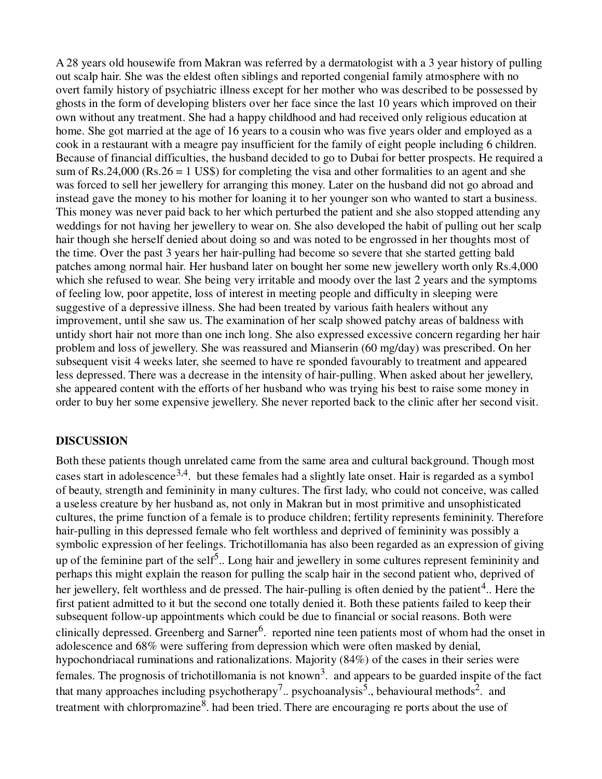A 28 years old housewife from Makran was referred by a dermatologist with a 3 year history of pulling out scalp hair. She was the eldest often siblings and reported congenial family atmosphere with no overt family history of psychiatric illness except for her mother who was described to be possessed by ghosts in the form of developing blisters over her face since the last 10 years which improved on their own without any treatment. She had a happy childhood and had received only religious education at home. She got married at the age of 16 years to a cousin who was five years older and employed as a cook in a restaurant with a meagre pay insufficient for the family of eight people including 6 children. Because of financial difficulties, the husband decided to go to Dubai for better prospects. He required a sum of Rs.24,000 (Rs.26 = 1 US\$) for completing the visa and other formalities to an agent and she was forced to sell her jewellery for arranging this money. Later on the husband did not go abroad and instead gave the money to his mother for loaning it to her younger son who wanted to start a business. This money was never paid back to her which perturbed the patient and she also stopped attending any weddings for not having her jewellery to wear on. She also developed the habit of pulling out her scalp hair though she herself denied about doing so and was noted to be engrossed in her thoughts most of the time. Over the past 3 years her hair-pulling had become so severe that she started getting bald patches among normal hair. Her husband later on bought her some new jewellery worth only Rs.4,000 which she refused to wear. She being very irritable and moody over the last 2 years and the symptoms of feeling low, poor appetite, loss of interest in meeting people and difficulty in sleeping were suggestive of a depressive illness. She had been treated by various faith healers without any improvement, until she saw us. The examination of her scalp showed patchy areas of baldness with untidy short hair not more than one inch long. She also expressed excessive concern regarding her hair problem and loss of jewellery. She was reassured and Mianserin (60 mg/day) was prescribed. On her subsequent visit 4 weeks later, she seemed to have re sponded favourably to treatment and appeared less depressed. There was a decrease in the intensity of hair-pulling. When asked about her jewellery, she appeared content with the efforts of her husband who was trying his best to raise some money in order to buy her some expensive jewellery. She never reported back to the clinic after her second visit.

#### **DISCUSSION**

Both these patients though unrelated came from the same area and cultural background. Though most cases start in adolescence<sup>3,4</sup>. but these females had a slightly late onset. Hair is regarded as a symbol of beauty, strength and femininity in many cultures. The first lady, who could not conceive, was called a useless creature by her husband as, not only in Makran but in most primitive and unsophisticated cultures, the prime function of a female is to produce children; fertility represents femininity. Therefore hair-pulling in this depressed female who felt worthless and deprived of femininity was possibly a symbolic expression of her feelings. Trichotillomania has also been regarded as an expression of giving up of the feminine part of the self<sup>5</sup>.. Long hair and jewellery in some cultures represent femininity and perhaps this might explain the reason for pulling the scalp hair in the second patient who, deprived of her jewellery, felt worthless and de pressed. The hair-pulling is often denied by the patient<sup>4</sup>.. Here the first patient admitted to it but the second one totally denied it. Both these patients failed to keep their subsequent follow-up appointments which could be due to financial or social reasons. Both were clinically depressed. Greenberg and Sarner<sup>6</sup>. reported nine teen patients most of whom had the onset in adolescence and 68% were suffering from depression which were often masked by denial, hypochondriacal ruminations and rationalizations. Majority (84%) of the cases in their series were females. The prognosis of trichotillomania is not known<sup>3</sup>. and appears to be guarded inspite of the fact that many approaches including psychotherapy<sup>7</sup>.. psychoanalysis<sup>5</sup>., behavioural methods<sup>2</sup>. and treatment with chlorpromazine<sup>8</sup>. had been tried. There are encouraging re ports about the use of